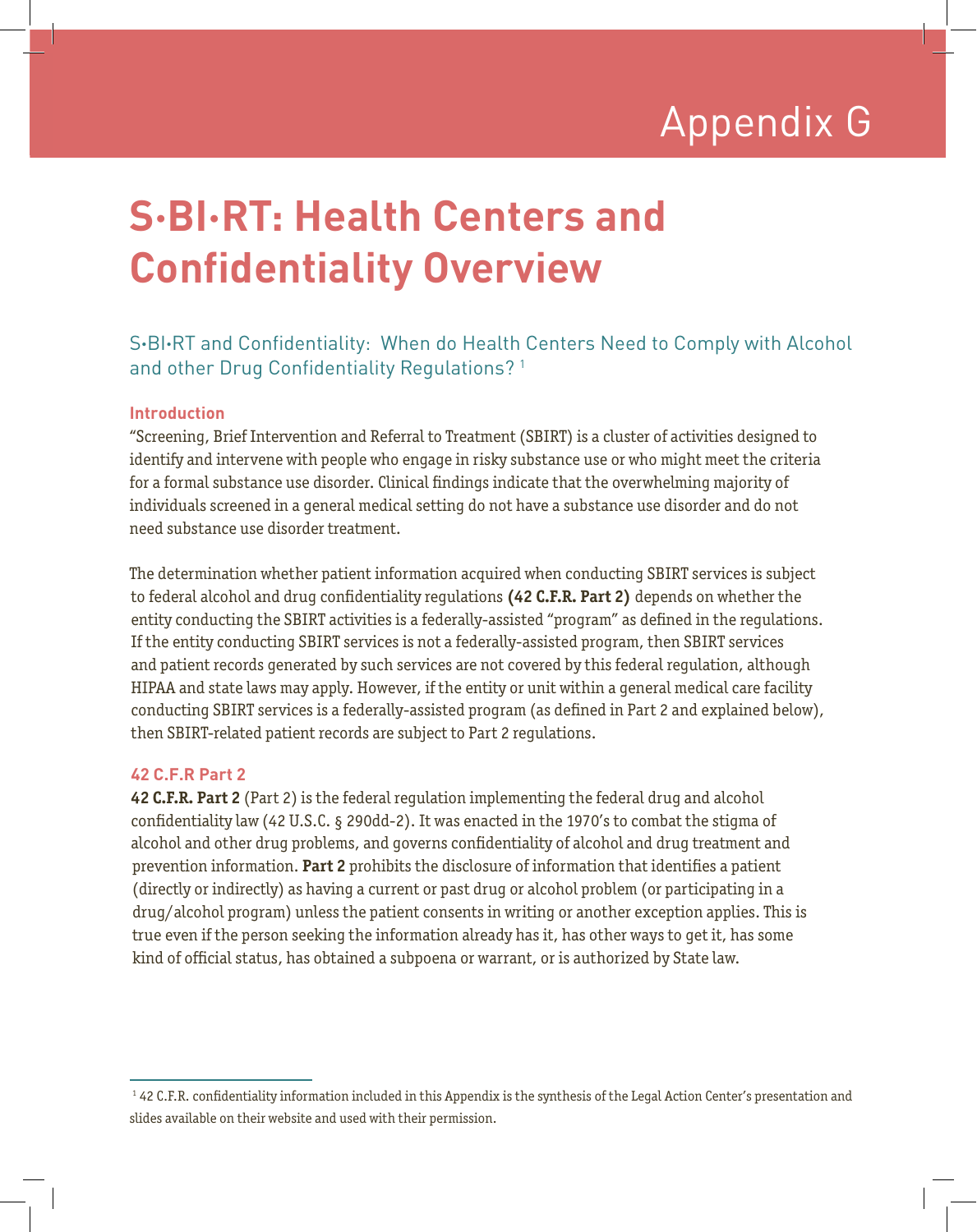# Appendix G Appendix G

# **S·BI·RT: Health Centers and Confidentiality Overview**

# S**·**BI**·**RT and Confidentiality: When do Health Centers Need to Comply with Alcohol and other Drug Confidentiality Regulations?<sup>1</sup>

## **Introduction**

"Screening, Brief Intervention and Referral to Treatment (SBIRT) is a cluster of activities designed to identify and intervene with people who engage in risky substance use or who might meet the criteria for a formal substance use disorder. Clinical findings indicate that the overwhelming majority of individuals screened in a general medical setting do not have a substance use disorder and do not need substance use disorder treatment.

The determination whether patient information acquired when conducting SBIRT services is subject to federal alcohol and drug confidentiality regulations **(42 C.F.R. Part 2)** depends on whether the entity conducting the SBIRT activities is a federally-assisted "program" as defined in the regulations. If the entity conducting SBIRT services is not a federally-assisted program, then SBIRT services and patient records generated by such services are not covered by this federal regulation, although HIPAA and state laws may apply. However, if the entity or unit within a general medical care facility conducting SBIRT services is a federally-assisted program (as defined in Part 2 and explained below), then SBIRT-related patient records are subject to Part 2 regulations.

## **42 C.F.R Part 2**

**42 C.F.R. Part 2** (Part 2) is the federal regulation implementing the federal drug and alcohol confidentiality law (42 U.S.C. § 290dd-2). It was enacted in the 1970's to combat the stigma of alcohol and other drug problems, and governs confidentiality of alcohol and drug treatment and prevention information. **Part 2** prohibits the disclosure of information that identifies a patient (directly or indirectly) as having a current or past drug or alcohol problem (or participating in a drug/alcohol program) unless the patient consents in writing or another exception applies. This is true even if the person seeking the information already has it, has other ways to get it, has some kind of official status, has obtained a subpoena or warrant, or is authorized by State law.

<sup>&</sup>lt;sup>1</sup> 42 C.F.R. confidentiality information included in this Appendix is the synthesis of the Legal Action Center's presentation and slides available on their website and used with their permission.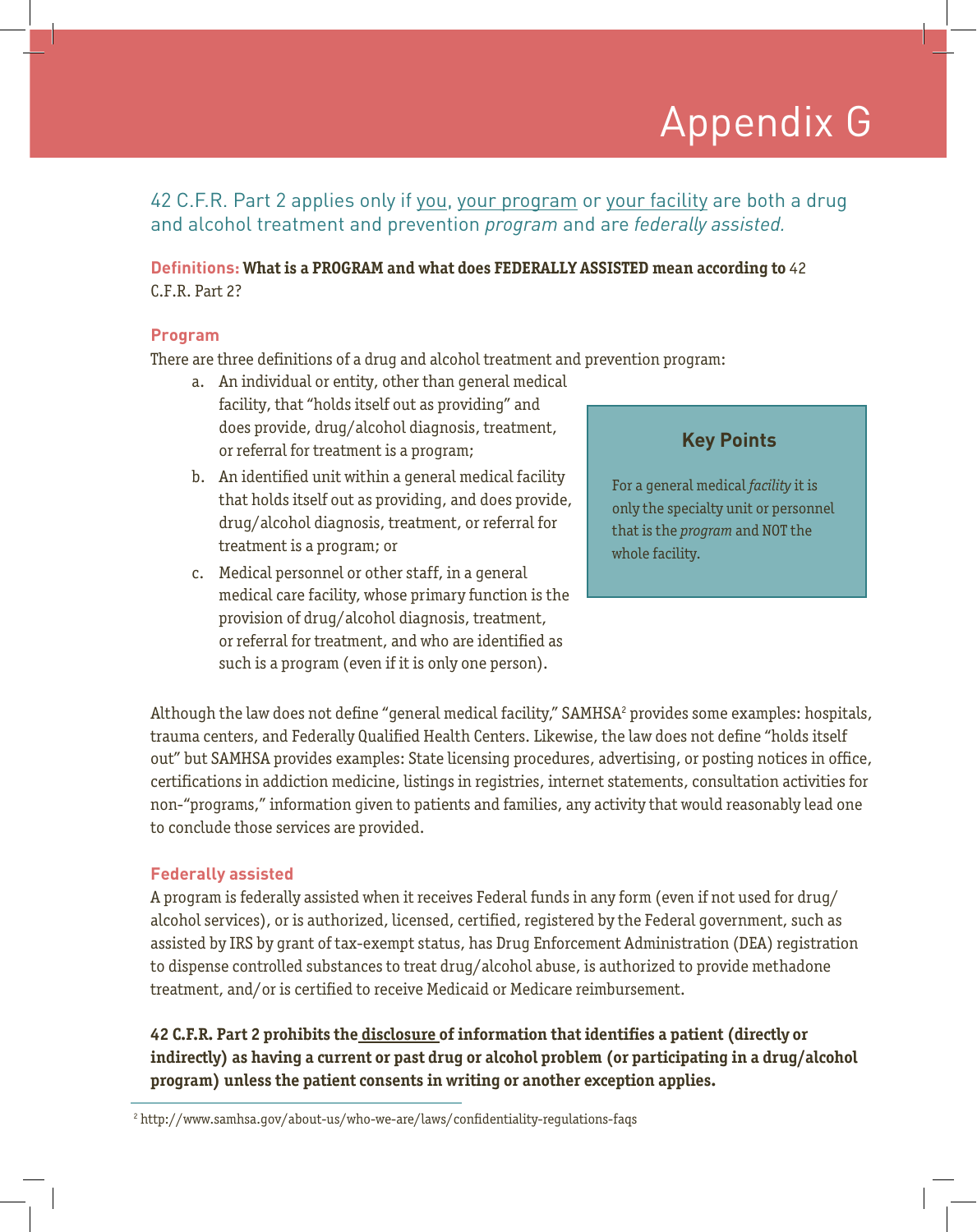# Appendix G Appendix G

## 42 C.F.R. Part 2 applies only if you, your program or your facility are both a drug and alcohol treatment and prevention *program* and are *federally assisted.*

## **Definitions: What is a PROGRAM and what does FEDERALLY ASSISTED mean according to** 42 C.F.R. Part 2?

#### **Program**

There are three definitions of a drug and alcohol treatment and prevention program:

- a. An individual or entity, other than general medical facility, that "holds itself out as providing" and does provide, drug/alcohol diagnosis, treatment, or referral for treatment is a program;
- b. An identified unit within a general medical facility that holds itself out as providing, and does provide, drug/alcohol diagnosis, treatment, or referral for treatment is a program; or
- c. Medical personnel or other staff, in a general medical care facility, whose primary function is the provision of drug/alcohol diagnosis, treatment, or referral for treatment, and who are identified as such is a program (even if it is only one person).

# **Key Points**

For a general medical *facility* it is only the specialty unit or personnel that is the *program* and NOT the whole facility.

Although the law does not define "general medical facility," SAMHSA<sup>2</sup> provides some examples: hospitals, trauma centers, and Federally Qualified Health Centers. Likewise, the law does not define "holds itself out" but SAMHSA provides examples: State licensing procedures, advertising, or posting notices in office, certifications in addiction medicine, listings in registries, internet statements, consultation activities for non-"programs," information given to patients and families, any activity that would reasonably lead one to conclude those services are provided.

## **Federally assisted**

A program is federally assisted when it receives Federal funds in any form (even if not used for drug/ alcohol services), or is authorized, licensed, certified, registered by the Federal government, such as assisted by IRS by grant of tax-exempt status, has Drug Enforcement Administration (DEA) registration to dispense controlled substances to treat drug/alcohol abuse, is authorized to provide methadone treatment, and/or is certified to receive Medicaid or Medicare reimbursement.

**42 C.F.R. Part 2 prohibits the disclosure of information that identifies a patient (directly or indirectly) as having a current or past drug or alcohol problem (or participating in a drug/alcohol program) unless the patient consents in writing or another exception applies.** 

<sup>2</sup> http://www.samhsa.gov/about-us/who-we-are/laws/confidentiality-regulations-faqs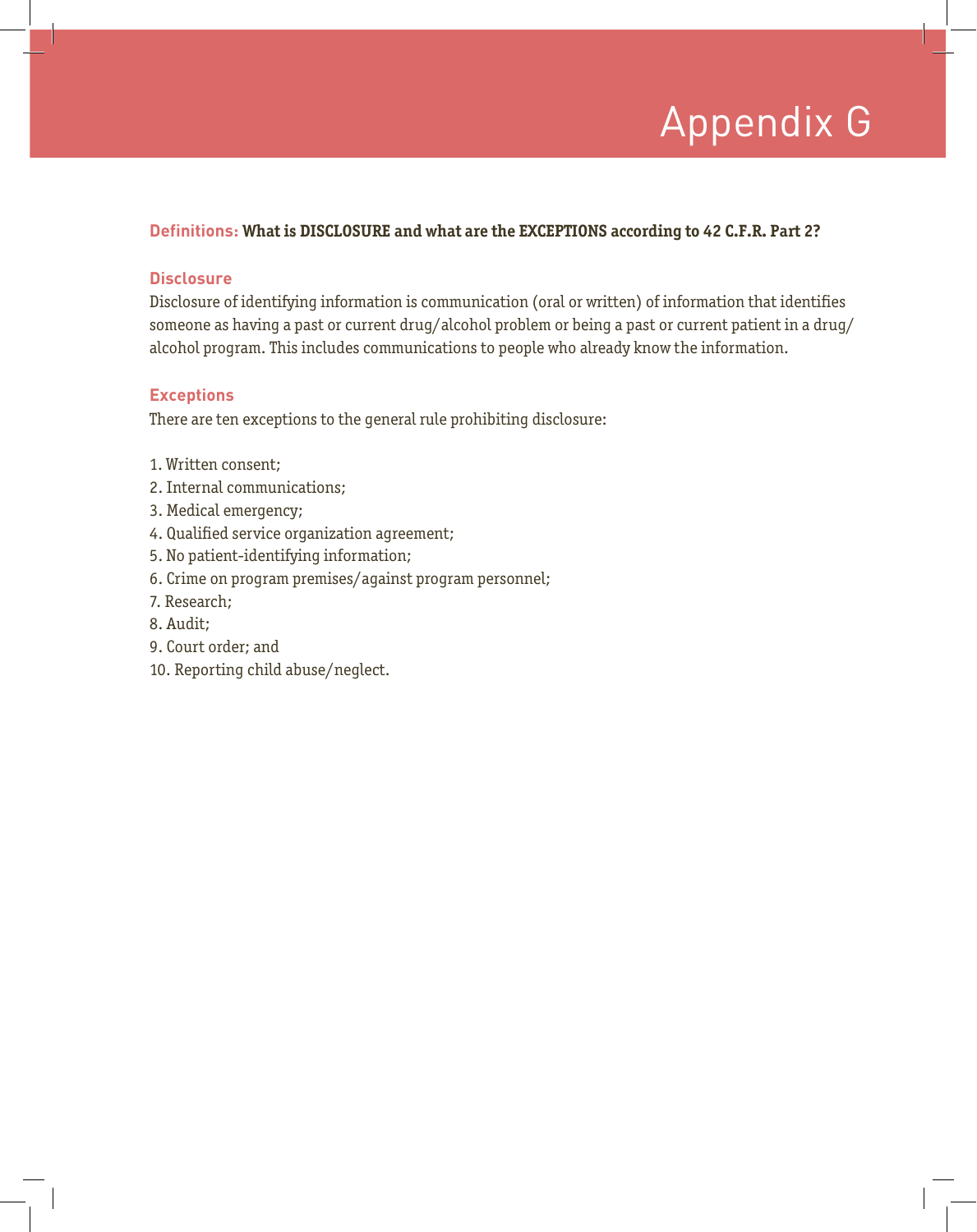# Appendix G Appendix G

## **Definitions: What is DISCLOSURE and what are the EXCEPTIONS according to 42 C.F.R. Part 2?**

#### **Disclosure**

Disclosure of identifying information is communication (oral or written) of information that identifies someone as having a past or current drug/alcohol problem or being a past or current patient in a drug/ alcohol program. This includes communications to people who already know the information.

## **Exceptions**

There are ten exceptions to the general rule prohibiting disclosure:

- 1. Written consent;
- 2. Internal communications;
- 3. Medical emergency;
- 4. Qualified service organization agreement;
- 5. No patient-identifying information;
- 6. Crime on program premises/against program personnel;
- 7. Research;
- 8. Audit;
- 9. Court order; and
- 10. Reporting child abuse/neglect.